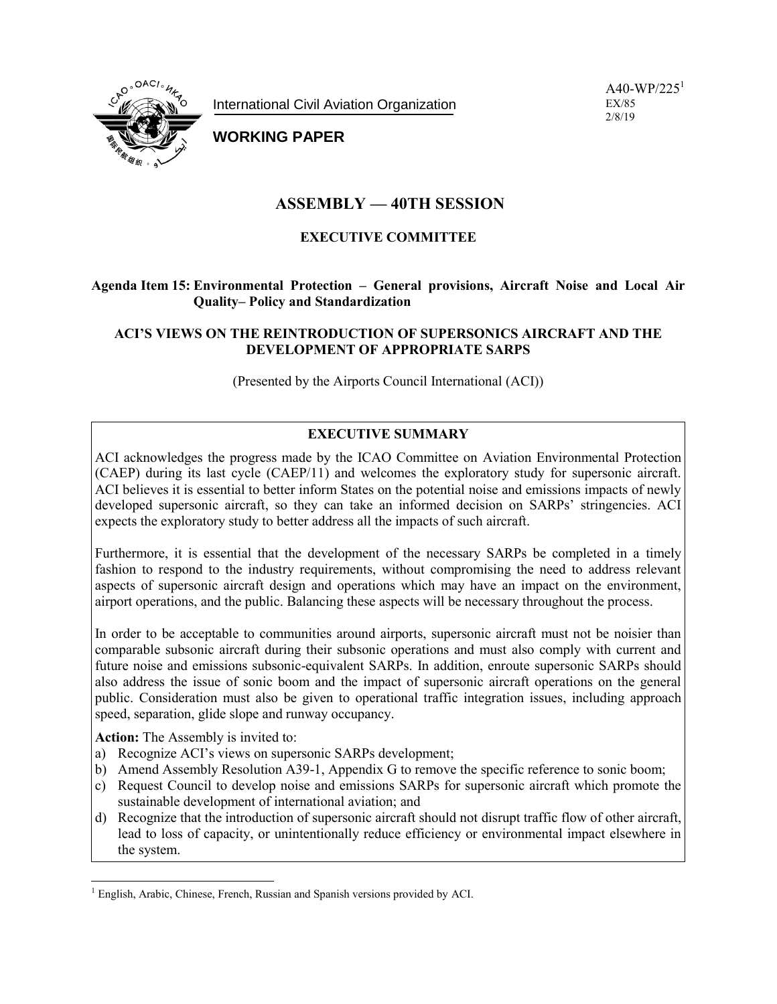International Civil Aviation Organization



# **WORKING PAPER**

# **ASSEMBLY — 40TH SESSION**

## **EXECUTIVE COMMITTEE**

## **Agenda Item 15: Environmental Protection – General provisions, Aircraft Noise and Local Air Quality– Policy and Standardization**

### **ACI'S VIEWS ON THE REINTRODUCTION OF SUPERSONICS AIRCRAFT AND THE DEVELOPMENT OF APPROPRIATE SARPS**

(Presented by the Airports Council International (ACI))

## **EXECUTIVE SUMMARY**

ACI acknowledges the progress made by the ICAO Committee on Aviation Environmental Protection (CAEP) during its last cycle (CAEP/11) and welcomes the exploratory study for supersonic aircraft. ACI believes it is essential to better inform States on the potential noise and emissions impacts of newly developed supersonic aircraft, so they can take an informed decision on SARPs' stringencies. ACI expects the exploratory study to better address all the impacts of such aircraft.

Furthermore, it is essential that the development of the necessary SARPs be completed in a timely fashion to respond to the industry requirements, without compromising the need to address relevant aspects of supersonic aircraft design and operations which may have an impact on the environment, airport operations, and the public. Balancing these aspects will be necessary throughout the process.

In order to be acceptable to communities around airports, supersonic aircraft must not be noisier than comparable subsonic aircraft during their subsonic operations and must also comply with current and future noise and emissions subsonic-equivalent SARPs. In addition, enroute supersonic SARPs should also address the issue of sonic boom and the impact of supersonic aircraft operations on the general public. Consideration must also be given to operational traffic integration issues, including approach speed, separation, glide slope and runway occupancy.

**Action:** The Assembly is invited to:

- a) Recognize ACI's views on supersonic SARPs development;
- b) Amend Assembly Resolution A39-1, Appendix G to remove the specific reference to sonic boom;
- c) Request Council to develop noise and emissions SARPs for supersonic aircraft which promote the sustainable development of international aviation; and
- d) Recognize that the introduction of supersonic aircraft should not disrupt traffic flow of other aircraft, lead to loss of capacity, or unintentionally reduce efficiency or environmental impact elsewhere in the system.

 $\overline{a}$ <sup>1</sup> English, Arabic, Chinese, French, Russian and Spanish versions provided by ACI.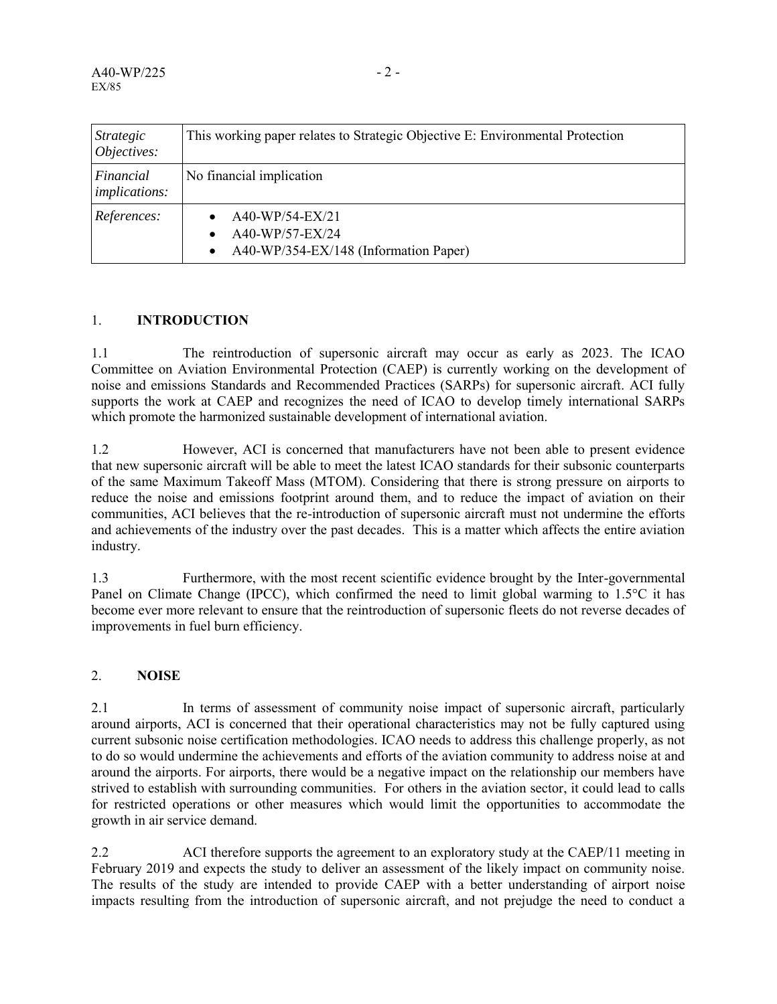| <i>Strategic</i><br>Objectives:   | This working paper relates to Strategic Objective E: Environmental Protection |
|-----------------------------------|-------------------------------------------------------------------------------|
| Financial<br><i>implications:</i> | No financial implication                                                      |
| References:                       | A40-WP/54-EX/21<br>A40-WP/57-EX/24<br>A40-WP/354-EX/148 (Information Paper)   |

### 1. **INTRODUCTION**

1.1 The reintroduction of supersonic aircraft may occur as early as 2023. The ICAO Committee on Aviation Environmental Protection (CAEP) is currently working on the development of noise and emissions Standards and Recommended Practices (SARPs) for supersonic aircraft. ACI fully supports the work at CAEP and recognizes the need of ICAO to develop timely international SARPs which promote the harmonized sustainable development of international aviation.

1.2 However, ACI is concerned that manufacturers have not been able to present evidence that new supersonic aircraft will be able to meet the latest ICAO standards for their subsonic counterparts of the same Maximum Takeoff Mass (MTOM). Considering that there is strong pressure on airports to reduce the noise and emissions footprint around them, and to reduce the impact of aviation on their communities, ACI believes that the re-introduction of supersonic aircraft must not undermine the efforts and achievements of the industry over the past decades. This is a matter which affects the entire aviation industry.

1.3 Furthermore, with the most recent scientific evidence brought by the Inter-governmental Panel on Climate Change (IPCC), which confirmed the need to limit global warming to 1.5°C it has become ever more relevant to ensure that the reintroduction of supersonic fleets do not reverse decades of improvements in fuel burn efficiency.

### 2. **NOISE**

2.1 In terms of assessment of community noise impact of supersonic aircraft, particularly around airports, ACI is concerned that their operational characteristics may not be fully captured using current subsonic noise certification methodologies. ICAO needs to address this challenge properly, as not to do so would undermine the achievements and efforts of the aviation community to address noise at and around the airports. For airports, there would be a negative impact on the relationship our members have strived to establish with surrounding communities. For others in the aviation sector, it could lead to calls for restricted operations or other measures which would limit the opportunities to accommodate the growth in air service demand.

2.2 ACI therefore supports the agreement to an exploratory study at the CAEP/11 meeting in February 2019 and expects the study to deliver an assessment of the likely impact on community noise. The results of the study are intended to provide CAEP with a better understanding of airport noise impacts resulting from the introduction of supersonic aircraft, and not prejudge the need to conduct a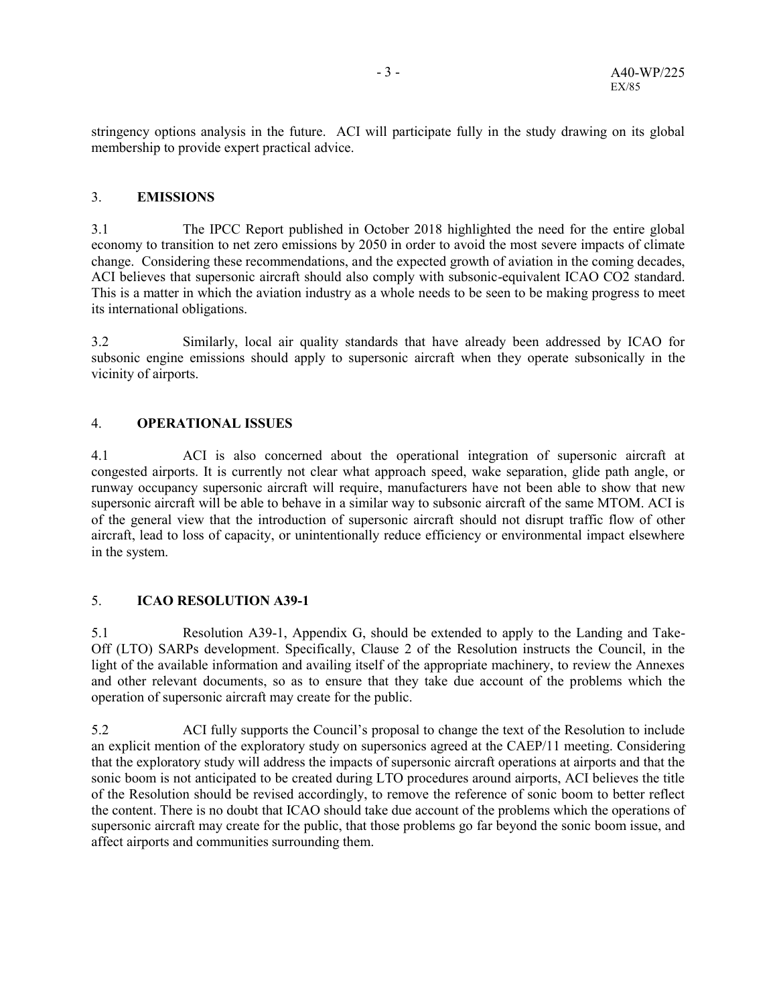stringency options analysis in the future. ACI will participate fully in the study drawing on its global membership to provide expert practical advice.

#### 3. **EMISSIONS**

3.1 The IPCC Report published in October 2018 highlighted the need for the entire global economy to transition to net zero emissions by 2050 in order to avoid the most severe impacts of climate change. Considering these recommendations, and the expected growth of aviation in the coming decades, ACI believes that supersonic aircraft should also comply with subsonic-equivalent ICAO CO2 standard. This is a matter in which the aviation industry as a whole needs to be seen to be making progress to meet its international obligations.

3.2 Similarly, local air quality standards that have already been addressed by ICAO for subsonic engine emissions should apply to supersonic aircraft when they operate subsonically in the vicinity of airports.

#### 4. **OPERATIONAL ISSUES**

4.1 ACI is also concerned about the operational integration of supersonic aircraft at congested airports. It is currently not clear what approach speed, wake separation, glide path angle, or runway occupancy supersonic aircraft will require, manufacturers have not been able to show that new supersonic aircraft will be able to behave in a similar way to subsonic aircraft of the same MTOM. ACI is of the general view that the introduction of supersonic aircraft should not disrupt traffic flow of other aircraft, lead to loss of capacity, or unintentionally reduce efficiency or environmental impact elsewhere in the system.

### 5. **ICAO RESOLUTION A39-1**

5.1 Resolution A39-1, Appendix G, should be extended to apply to the Landing and Take-Off (LTO) SARPs development. Specifically, Clause 2 of the Resolution instructs the Council, in the light of the available information and availing itself of the appropriate machinery, to review the Annexes and other relevant documents, so as to ensure that they take due account of the problems which the operation of supersonic aircraft may create for the public.

5.2 ACI fully supports the Council's proposal to change the text of the Resolution to include an explicit mention of the exploratory study on supersonics agreed at the CAEP/11 meeting. Considering that the exploratory study will address the impacts of supersonic aircraft operations at airports and that the sonic boom is not anticipated to be created during LTO procedures around airports, ACI believes the title of the Resolution should be revised accordingly, to remove the reference of sonic boom to better reflect the content. There is no doubt that ICAO should take due account of the problems which the operations of supersonic aircraft may create for the public, that those problems go far beyond the sonic boom issue, and affect airports and communities surrounding them.